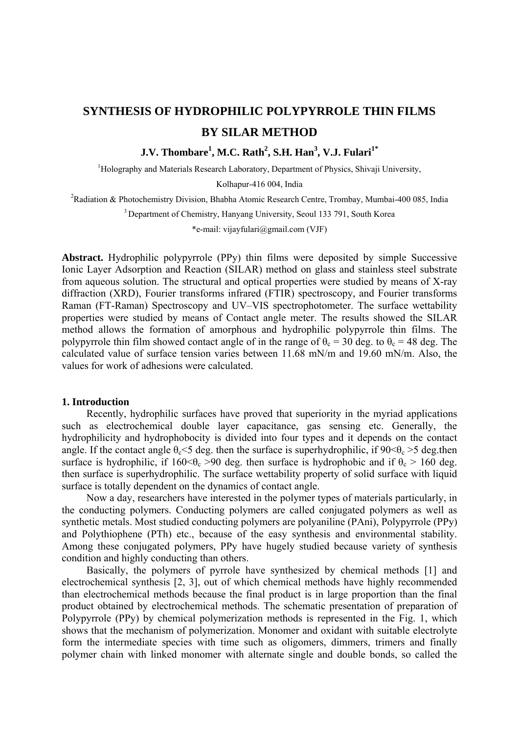# **SYNTHESIS OF HYDROPHILIC POLYPYRROLE THIN FILMS BY SILAR METHOD**

# **J.V. Thombare<sup>1</sup> , M.C. Rath<sup>2</sup> , S.H. Han3 , V.J. Fulari1\***

<sup>1</sup>Holography and Materials Research Laboratory, Department of Physics, Shivaji University,

Kolhapur-416 004, India

<sup>2</sup>Radiation & Photochemistry Division, Bhabha Atomic Research Centre, Trombay, Mumbai-400 085, India

<sup>3</sup> Department of Chemistry, Hanyang University, Seoul 133 791, South Korea

\*e-mail: vijayfulari@gmail.com (VJF)

**Abstract.** Hydrophilic polypyrrole (PPy) thin films were deposited by simple Successive Ionic Layer Adsorption and Reaction (SILAR) method on glass and stainless steel substrate from aqueous solution. The structural and optical properties were studied by means of X-ray diffraction (XRD), Fourier transforms infrared (FTIR) spectroscopy, and Fourier transforms Raman (FT-Raman) Spectroscopy and UV–VIS spectrophotometer. The surface wettability properties were studied by means of Contact angle meter. The results showed the SILAR method allows the formation of amorphous and hydrophilic polypyrrole thin films. The polypyrrole thin film showed contact angle of in the range of  $\theta_c = 30$  deg. to  $\theta_c = 48$  deg. The calculated value of surface tension varies between 11.68 mN/m and 19.60 mN/m. Also, the values for work of adhesions were calculated.

#### **1. Introduction**

Recently, hydrophilic surfaces have proved that superiority in the myriad applications such as electrochemical double layer capacitance, gas sensing etc. Generally, the hydrophilicity and hydrophobocity is divided into four types and it depends on the contact angle. If the contact angle  $\theta_c \le 5$  deg. then the surface is superhydrophilic, if  $90 \le \theta_c > 5$  deg.then surface is hydrophilic, if  $160 \le \theta_c > 90$  deg. then surface is hydrophobic and if  $\theta_c > 160$  deg. then surface is superhydrophilic. The surface wettability property of solid surface with liquid surface is totally dependent on the dynamics of contact angle.

Now a day, researchers have interested in the polymer types of materials particularly, in the conducting polymers. Conducting polymers are called conjugated polymers as well as synthetic metals. Most studied conducting polymers are polyaniline (PAni), Polypyrrole (PPy) and Polythiophene (PTh) etc., because of the easy synthesis and environmental stability. Among these conjugated polymers, PPy have hugely studied because variety of synthesis condition and highly conducting than others.

Basically, the polymers of pyrrole have synthesized by chemical methods [1] and electrochemical synthesis [2, 3], out of which chemical methods have highly recommended than electrochemical methods because the final product is in large proportion than the final product obtained by electrochemical methods. The schematic presentation of preparation of Polypyrrole (PPy) by chemical polymerization methods is represented in the Fig. 1, which shows that the mechanism of polymerization. Monomer and oxidant with suitable electrolyte form the intermediate species with time such as oligomers, dimmers, trimers and finally polymer chain with linked monomer with alternate single and double bonds, so called the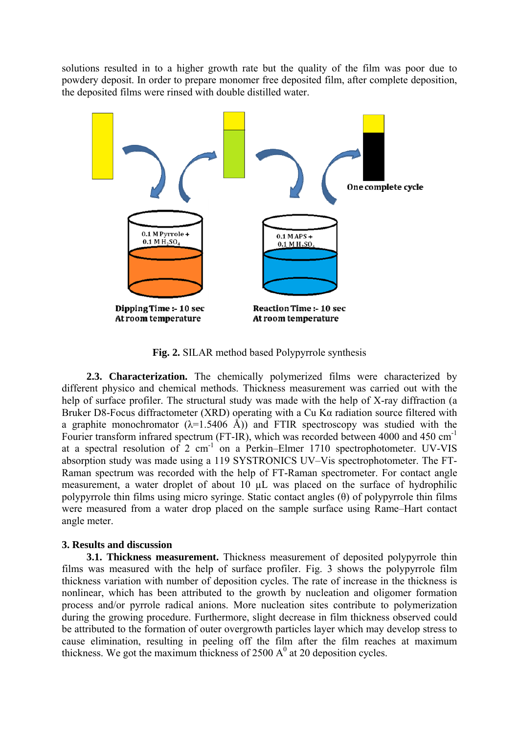solutions resulted in to a higher growth rate but the quality of the film was poor due to powdery deposit. In order to prepare monomer free deposited film, after complete deposition, the deposited films were rinsed with double distilled water.



**Fig. 2.** SILAR method based Polypyrrole synthesis

**2.3. Characterization.** The chemically polymerized films were characterized by different physico and chemical methods. Thickness measurement was carried out with the help of surface profiler. The structural study was made with the help of X-ray diffraction (a Bruker D8-Focus diffractometer (XRD) operating with a Cu Kα radiation source filtered with a graphite monochromator  $(\lambda=1.5406 \text{ Å})$  and FTIR spectroscopy was studied with the Fourier transform infrared spectrum (FT-IR), which was recorded between 4000 and 450 cm-1 at a spectral resolution of 2 cm<sup>-1</sup> on a Perkin–Elmer 1710 spectrophotometer. UV-VIS absorption study was made using a 119 SYSTRONICS UV–Vis spectrophotometer. The FT-Raman spectrum was recorded with the help of FT-Raman spectrometer. For contact angle measurement, a water droplet of about 10 µL was placed on the surface of hydrophilic polypyrrole thin films using micro syringe. Static contact angles (θ) of polypyrrole thin films were measured from a water drop placed on the sample surface using Rame–Hart contact angle meter.

### **3. Results and discussion**

**3.1. Thickness measurement.** Thickness measurement of deposited polypyrrole thin films was measured with the help of surface profiler. Fig. 3 shows the polypyrrole film thickness variation with number of deposition cycles. The rate of increase in the thickness is nonlinear, which has been attributed to the growth by nucleation and oligomer formation process and/or pyrrole radical anions. More nucleation sites contribute to polymerization during the growing procedure. Furthermore, slight decrease in film thickness observed could be attributed to the formation of outer overgrowth particles layer which may develop stress to cause elimination, resulting in peeling off the film after the film reaches at maximum thickness. We got the maximum thickness of 2500  $A<sup>0</sup>$  at 20 deposition cycles.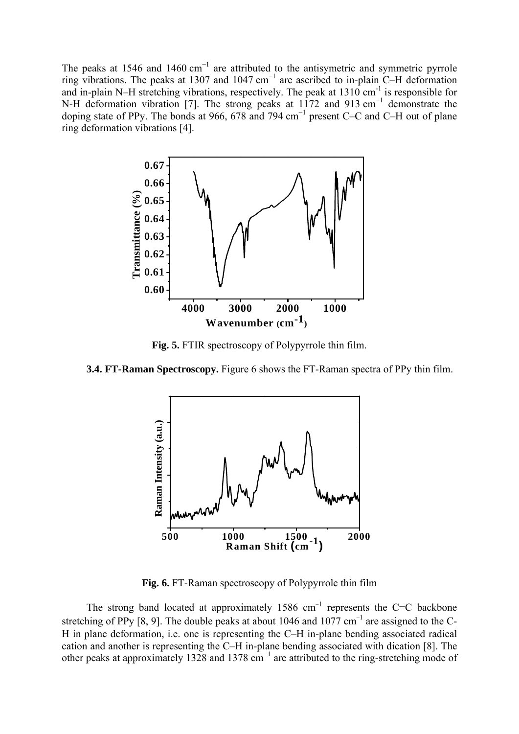The peaks at 1546 and 1460 cm<sup>-1</sup> are attributed to the antisymetric and symmetric pyrrole ring vibrations. The peaks at 1307 and 1047 cm<sup>-1</sup> are ascribed to in-plain C–H deformation and in-plain N–H stretching vibrations, respectively. The peak at  $1310 \text{ cm}^{-1}$  is responsible for N-H deformation vibration [7]. The strong peaks at 1172 and 913 cm<sup>-1</sup> demonstrate the doping state of PPy. The bonds at 966, 678 and 794 cm<sup>-1</sup> present C–C and C–H out of plane ring deformation vibrations [4].



**Fig. 5.** FTIR spectroscopy of Polypyrrole thin film.

**3.4. FT-Raman Spectroscopy.** Figure 6 shows the FT-Raman spectra of PPy thin film.



**Fig. 6.** FT-Raman spectroscopy of Polypyrrole thin film

The strong band located at approximately 1586  $cm^{-1}$  represents the C=C backbone stretching of PPy [8, 9]. The double peaks at about 1046 and 1077 cm<sup>-1</sup> are assigned to the C-H in plane deformation, i.e. one is representing the C–H in-plane bending associated radical cation and another is representing the C–H in-plane bending associated with dication [8]. The other peaks at approximately 1328 and 1378 cm<sup>-1</sup> are attributed to the ring-stretching mode of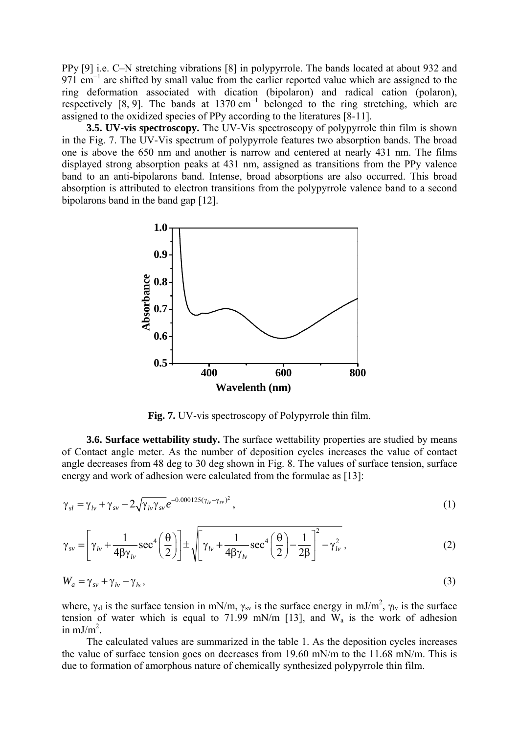PPy [9] i.e. C–N stretching vibrations [8] in polypyrrole. The bands located at about 932 and 971 cm<sup>-1</sup> are shifted by small value from the earlier reported value which are assigned to the ring deformation associated with dication (bipolaron) and radical cation (polaron), respectively [8, 9]. The bands at  $1370 \text{ cm}^{-1}$  belonged to the ring stretching, which are assigned to the oxidized species of PPy according to the literatures [8-11].

**3.5. UV-vis spectroscopy.** The UV-Vis spectroscopy of polypyrrole thin film is shown in the Fig. 7. The UV-Vis spectrum of polypyrrole features two absorption bands. The broad one is above the 650 nm and another is narrow and centered at nearly 431 nm. The films displayed strong absorption peaks at 431 nm, assigned as transitions from the PPy valence band to an anti-bipolarons band. Intense, broad absorptions are also occurred. This broad absorption is attributed to electron transitions from the polypyrrole valence band to a second bipolarons band in the band gap [12].



**Fig. 7.** UV-vis spectroscopy of Polypyrrole thin film.

**3.6. Surface wettability study.** The surface wettability properties are studied by means of Contact angle meter. As the number of deposition cycles increases the value of contact angle decreases from 48 deg to 30 deg shown in Fig. 8. The values of surface tension, surface energy and work of adhesion were calculated from the formulae as [13]:

$$
\gamma_{sl} = \gamma_{lv} + \gamma_{sv} - 2\sqrt{\gamma_{lv}\gamma_{sv}}e^{-0.000125(\gamma_{lv} - \gamma_{sv})^2},\tag{1}
$$

$$
\gamma_{sv} = \left[ \gamma_{lv} + \frac{1}{4\beta\gamma_{lv}} \sec^4\left(\frac{\theta}{2}\right) \right] \pm \sqrt{\gamma_{lv} + \frac{1}{4\beta\gamma_{lv}} \sec^4\left(\frac{\theta}{2}\right) - \frac{1}{2\beta} \right]^2 - \gamma_{lv}^2},
$$
(2)

$$
W_a = \gamma_{sv} + \gamma_{lv} - \gamma_{ls} \,,\tag{3}
$$

where,  $\gamma_{sl}$  is the surface tension in mN/m,  $\gamma_{sv}$  is the surface energy in mJ/m<sup>2</sup>,  $\gamma_{lv}$  is the surface tension of water which is equal to 71.99 mN/m [13], and  $W_a$  is the work of adhesion in  $mJ/m<sup>2</sup>$ .

The calculated values are summarized in the table 1. As the deposition cycles increases the value of surface tension goes on decreases from 19.60 mN/m to the 11.68 mN/m. This is due to formation of amorphous nature of chemically synthesized polypyrrole thin film.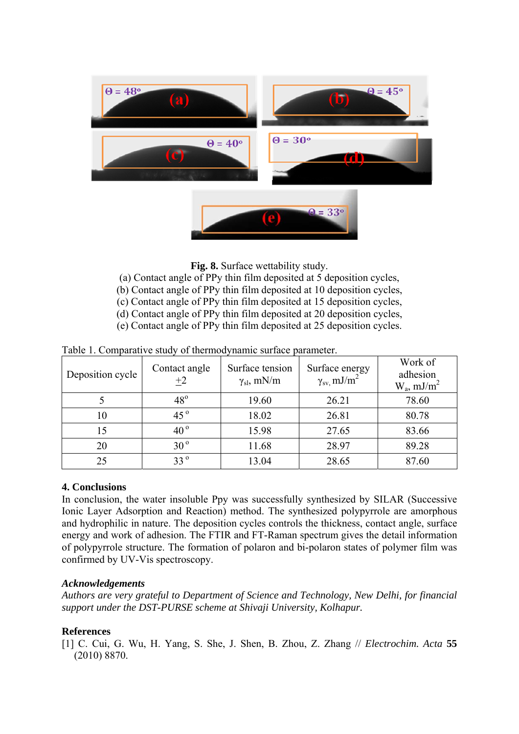

**Fig. 8.** Surface wettability study.

- (a) Contact angle of PPy thin film deposited at 5 deposition cycles,
- (b) Contact angle of PPy thin film deposited at 10 deposition cycles,
- (c) Contact angle of PPy thin film deposited at 15 deposition cycles,
- (d) Contact angle of PPy thin film deposited at 20 deposition cycles,
- (e) Contact angle of PPy thin film deposited at 25 deposition cycles.

| Deposition cycle | Contact angle<br>$+2$ | Surface tension<br>$\gamma_{\rm sl}$ , mN/m | Surface energy<br>$\gamma_{\rm sv}$ mJ/m <sup>2</sup> | Work of<br>adhesion<br>$W_a$ , mJ/m <sup>2</sup> |
|------------------|-----------------------|---------------------------------------------|-------------------------------------------------------|--------------------------------------------------|
|                  | $48^\circ$            | 19.60                                       | 26.21                                                 | 78.60                                            |
| 10               | 45 $^{\circ}$         | 18.02                                       | 26.81                                                 | 80.78                                            |
| 15               | 40 $^{\circ}$         | 15.98                                       | 27.65                                                 | 83.66                                            |
| 20               | $30^{\circ}$          | 11.68                                       | 28.97                                                 | 89.28                                            |
| 25               | $33^{\circ}$          | 13.04                                       | 28.65                                                 | 87.60                                            |

Table 1. Comparative study of thermodynamic surface parameter.

## **4. Conclusions**

In conclusion, the water insoluble Ppy was successfully synthesized by SILAR (Successive Ionic Layer Adsorption and Reaction) method. The synthesized polypyrrole are amorphous and hydrophilic in nature. The deposition cycles controls the thickness, contact angle, surface energy and work of adhesion. The FTIR and FT-Raman spectrum gives the detail information of polypyrrole structure. The formation of polaron and bi-polaron states of polymer film was confirmed by UV-Vis spectroscopy.

### *Acknowledgements*

*Authors are very grateful to Department of Science and Technology, New Delhi, for financial support under the DST-PURSE scheme at Shivaji University, Kolhapur.* 

### **References**

[1] C. Cui, G. Wu, H. Yang, S. She, J. Shen, B. Zhou, Z. Zhang // *Electrochim. Acta* **55** (2010) 8870.